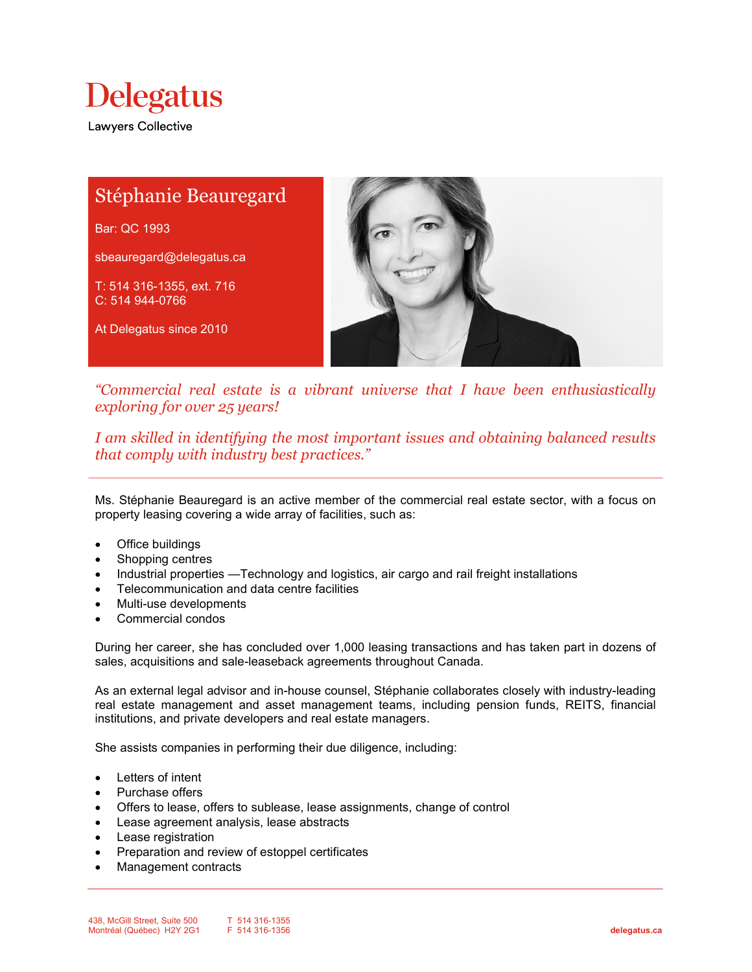

Lawyers Collective

# Stéphanie Beauregard Bar: QC 1993 sbeauregard@delegatus.ca T: 514 316-1355, ext. 716 C: 514 944-0766 At Delegatus since 2010

"Commercial real estate is a vibrant universe that I have been enthusiastically exploring for over 25 years!

I am skilled in identifying the most important issues and obtaining balanced results that comply with industry best practices."

Ms. Stéphanie Beauregard is an active member of the commercial real estate sector, with a focus on property leasing covering a wide array of facilities, such as:

- Office buildings
- Shopping centres
- Industrial properties —Technology and logistics, air cargo and rail freight installations
- Telecommunication and data centre facilities
- Multi-use developments
- Commercial condos

During her career, she has concluded over 1,000 leasing transactions and has taken part in dozens of sales, acquisitions and sale-leaseback agreements throughout Canada.

As an external legal advisor and in-house counsel, Stéphanie collaborates closely with industry-leading real estate management and asset management teams, including pension funds, REITS, financial institutions, and private developers and real estate managers.

She assists companies in performing their due diligence, including:

- Letters of intent
- Purchase offers
- Offers to lease, offers to sublease, lease assignments, change of control
- Lease agreement analysis, lease abstracts
- Lease registration
- Preparation and review of estoppel certificates
- Management contracts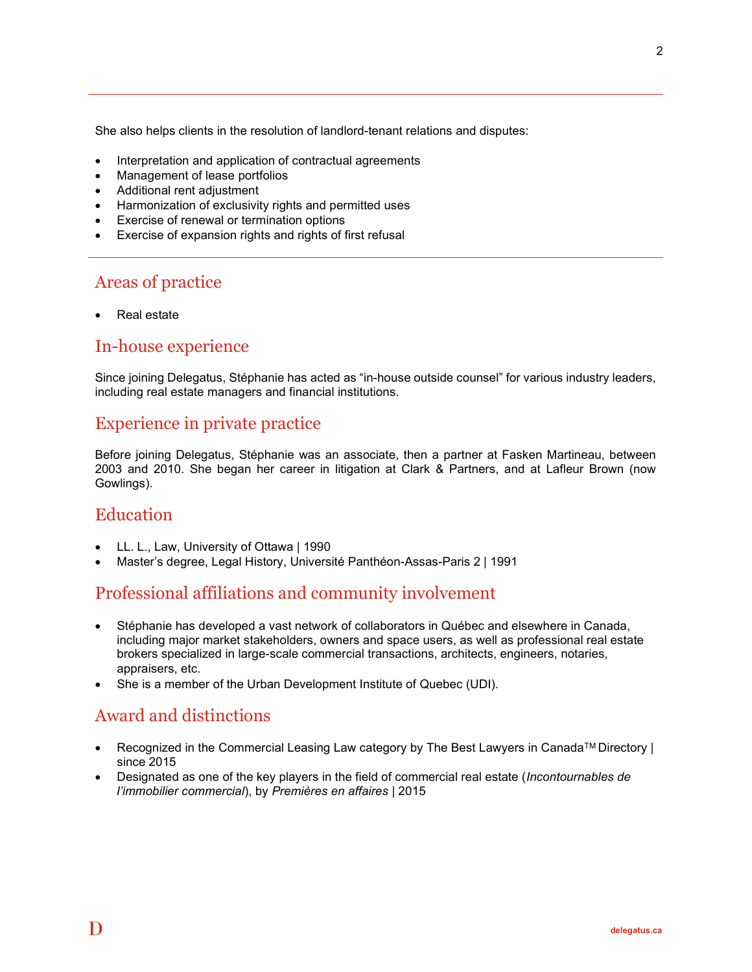She also helps clients in the resolution of landlord-tenant relations and disputes:

- Interpretation and application of contractual agreements
- Management of lease portfolios
- Additional rent adjustment
- Harmonization of exclusivity rights and permitted uses
- Exercise of renewal or termination options
- Exercise of expansion rights and rights of first refusal

# Areas of practice

Real estate

#### In-house experience

Since joining Delegatus, Stéphanie has acted as "in-house outside counsel" for various industry leaders, including real estate managers and financial institutions.

#### Experience in private practice

Before joining Delegatus, Stéphanie was an associate, then a partner at Fasken Martineau, between 2003 and 2010. She began her career in litigation at Clark & Partners, and at Lafleur Brown (now Gowlings).

#### **Education**

- LL. L., Law, University of Ottawa | 1990
- Master's degree, Legal History, Université Panthéon-Assas-Paris 2 | 1991

## Professional affiliations and community involvement

- Stéphanie has developed a vast network of collaborators in Québec and elsewhere in Canada, including major market stakeholders, owners and space users, as well as professional real estate brokers specialized in large-scale commercial transactions, architects, engineers, notaries, appraisers, etc.
- She is a member of the Urban Development Institute of Quebec (UDI).

## Award and distinctions

- Recognized in the Commercial Leasing Law category by The Best Lawyers in Canada<sup>TM</sup> Directory | since 2015
- Designated as one of the key players in the field of commercial real estate (*Incontournables de* l'immobilier commercial), by Premières en affaires | 2015